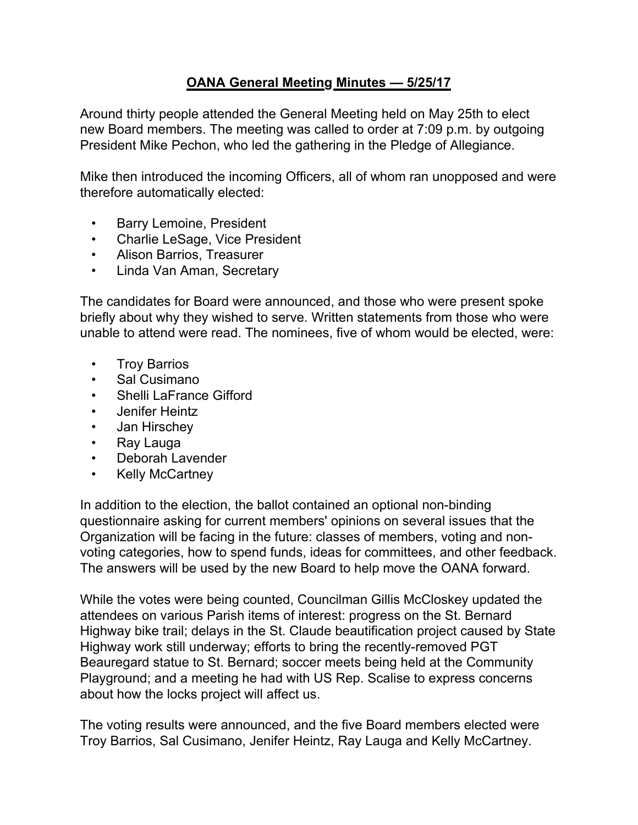## **OANA General Meeting Minutes — 5/25/17**

Around thirty people attended the General Meeting held on May 25th to elect new Board members. The meeting was called to order at 7:09 p.m. by outgoing President Mike Pechon, who led the gathering in the Pledge of Allegiance.

Mike then introduced the incoming Officers, all of whom ran unopposed and were therefore automatically elected:

- Barry Lemoine, President
- Charlie LeSage, Vice President
- Alison Barrios, Treasurer
- Linda Van Aman, Secretary

The candidates for Board were announced, and those who were present spoke briefly about why they wished to serve. Written statements from those who were unable to attend were read. The nominees, five of whom would be elected, were:

- Troy Barrios
- Sal Cusimano
- Shelli LaFrance Gifford
- Jenifer Heintz
- Jan Hirschey
- Ray Lauga
- Deborah Lavender
- Kelly McCartney

In addition to the election, the ballot contained an optional non-binding questionnaire asking for current members' opinions on several issues that the Organization will be facing in the future: classes of members, voting and nonvoting categories, how to spend funds, ideas for committees, and other feedback. The answers will be used by the new Board to help move the OANA forward.

While the votes were being counted, Councilman Gillis McCloskey updated the attendees on various Parish items of interest: progress on the St. Bernard Highway bike trail; delays in the St. Claude beautification project caused by State Highway work still underway; efforts to bring the recently-removed PGT Beauregard statue to St. Bernard; soccer meets being held at the Community Playground; and a meeting he had with US Rep. Scalise to express concerns about how the locks project will affect us.

The voting results were announced, and the five Board members elected were Troy Barrios, Sal Cusimano, Jenifer Heintz, Ray Lauga and Kelly McCartney.